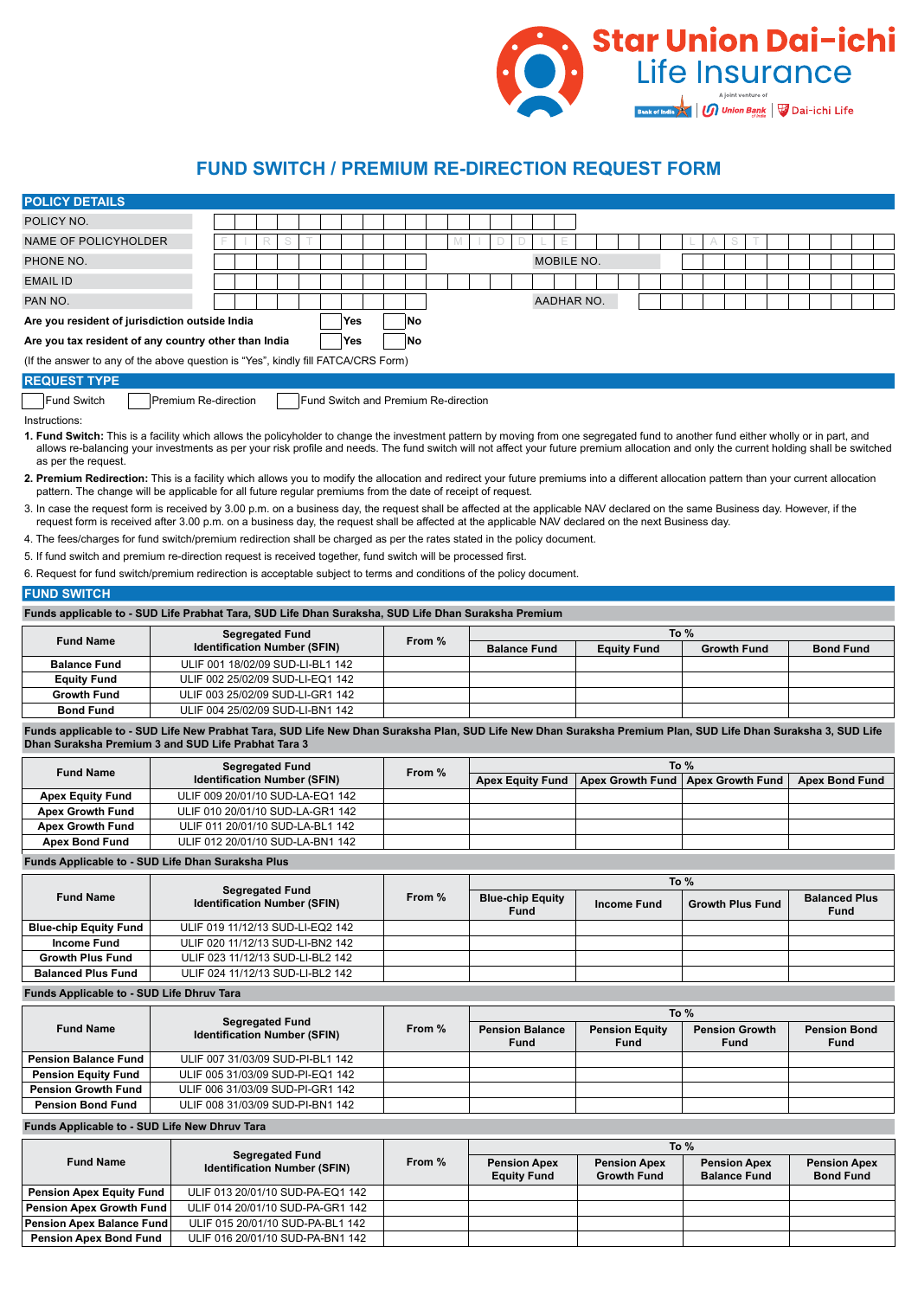

## **FUND SWITCH / PREMIUM RE-DIRECTION REQUEST FORM**

| <b>POLICY DETAILS</b>                                                                                                                                                                                                                                                                                                                                                                               |                                  |                                                                         |        |  |     |                                      |        |        |  |  |                                           |                   |  |                                           |             |                              |  |        |  |  |             |                                            |                         |  |                                         |             |  |
|-----------------------------------------------------------------------------------------------------------------------------------------------------------------------------------------------------------------------------------------------------------------------------------------------------------------------------------------------------------------------------------------------------|----------------------------------|-------------------------------------------------------------------------|--------|--|-----|--------------------------------------|--------|--------|--|--|-------------------------------------------|-------------------|--|-------------------------------------------|-------------|------------------------------|--|--------|--|--|-------------|--------------------------------------------|-------------------------|--|-----------------------------------------|-------------|--|
| POLICY NO.                                                                                                                                                                                                                                                                                                                                                                                          |                                  |                                                                         |        |  |     |                                      |        |        |  |  |                                           |                   |  |                                           |             |                              |  |        |  |  |             |                                            |                         |  |                                         |             |  |
| NAME OF POLICYHOLDER                                                                                                                                                                                                                                                                                                                                                                                |                                  |                                                                         | R<br>S |  |     |                                      |        |        |  |  |                                           |                   |  |                                           |             |                              |  |        |  |  |             |                                            |                         |  |                                         |             |  |
| PHONE NO.                                                                                                                                                                                                                                                                                                                                                                                           |                                  |                                                                         |        |  |     |                                      |        |        |  |  |                                           | <b>MOBILE NO.</b> |  |                                           |             |                              |  |        |  |  |             |                                            |                         |  |                                         |             |  |
|                                                                                                                                                                                                                                                                                                                                                                                                     |                                  |                                                                         |        |  |     |                                      |        |        |  |  |                                           |                   |  |                                           |             |                              |  |        |  |  |             |                                            |                         |  |                                         |             |  |
| <b>EMAIL ID</b>                                                                                                                                                                                                                                                                                                                                                                                     |                                  |                                                                         |        |  |     |                                      |        |        |  |  |                                           |                   |  |                                           |             |                              |  |        |  |  |             |                                            |                         |  |                                         |             |  |
| PAN NO.                                                                                                                                                                                                                                                                                                                                                                                             |                                  |                                                                         |        |  |     |                                      |        |        |  |  |                                           | <b>AADHAR NO.</b> |  |                                           |             |                              |  |        |  |  |             |                                            |                         |  |                                         |             |  |
| Are you resident of jurisdiction outside India                                                                                                                                                                                                                                                                                                                                                      |                                  |                                                                         |        |  | Yes |                                      | No     |        |  |  |                                           |                   |  |                                           |             |                              |  |        |  |  |             |                                            |                         |  |                                         |             |  |
| Are you tax resident of any country other than India                                                                                                                                                                                                                                                                                                                                                |                                  |                                                                         |        |  | Yes |                                      | No     |        |  |  |                                           |                   |  |                                           |             |                              |  |        |  |  |             |                                            |                         |  |                                         |             |  |
| (If the answer to any of the above question is "Yes", kindly fill FATCA/CRS Form)                                                                                                                                                                                                                                                                                                                   |                                  |                                                                         |        |  |     |                                      |        |        |  |  |                                           |                   |  |                                           |             |                              |  |        |  |  |             |                                            |                         |  |                                         |             |  |
| <b>REQUEST TYPE</b>                                                                                                                                                                                                                                                                                                                                                                                 |                                  |                                                                         |        |  |     |                                      |        |        |  |  |                                           |                   |  |                                           |             |                              |  |        |  |  |             |                                            |                         |  |                                         |             |  |
| <b>Fund Switch</b>                                                                                                                                                                                                                                                                                                                                                                                  | Premium Re-direction             |                                                                         |        |  |     | Fund Switch and Premium Re-direction |        |        |  |  |                                           |                   |  |                                           |             |                              |  |        |  |  |             |                                            |                         |  |                                         |             |  |
| Instructions:                                                                                                                                                                                                                                                                                                                                                                                       |                                  |                                                                         |        |  |     |                                      |        |        |  |  |                                           |                   |  |                                           |             |                              |  |        |  |  |             |                                            |                         |  |                                         |             |  |
| 1. Fund Switch: This is a facility which allows the policyholder to change the investment pattern by moving from one segregated fund to another fund either wholly or in part, and<br>allows re-balancing your investments as per your risk profile and needs. The fund switch will not affect your future premium allocation and only the current holding shall be switched<br>as per the request. |                                  |                                                                         |        |  |     |                                      |        |        |  |  |                                           |                   |  |                                           |             |                              |  |        |  |  |             |                                            |                         |  |                                         |             |  |
| 2. Premium Redirection: This is a facility which allows you to modify the allocation and redirect your future premiums into a different allocation pattern than your current allocation<br>pattern. The change will be applicable for all future regular premiums from the date of receipt of request.                                                                                              |                                  |                                                                         |        |  |     |                                      |        |        |  |  |                                           |                   |  |                                           |             |                              |  |        |  |  |             |                                            |                         |  |                                         |             |  |
| 3. In case the request form is received by 3.00 p.m. on a business day, the request shall be affected at the applicable NAV declared on the same Business day. However, if the<br>request form is received after 3.00 p.m. on a business day, the request shall be affected at the applicable NAV declared on the next Business day.                                                                |                                  |                                                                         |        |  |     |                                      |        |        |  |  |                                           |                   |  |                                           |             |                              |  |        |  |  |             |                                            |                         |  |                                         |             |  |
| 4. The fees/charges for fund switch/premium redirection shall be charged as per the rates stated in the policy document.                                                                                                                                                                                                                                                                            |                                  |                                                                         |        |  |     |                                      |        |        |  |  |                                           |                   |  |                                           |             |                              |  |        |  |  |             |                                            |                         |  |                                         |             |  |
| 5. If fund switch and premium re-direction request is received together, fund switch will be processed first.                                                                                                                                                                                                                                                                                       |                                  |                                                                         |        |  |     |                                      |        |        |  |  |                                           |                   |  |                                           |             |                              |  |        |  |  |             |                                            |                         |  |                                         |             |  |
| 6. Request for fund switch/premium redirection is acceptable subject to terms and conditions of the policy document.                                                                                                                                                                                                                                                                                |                                  |                                                                         |        |  |     |                                      |        |        |  |  |                                           |                   |  |                                           |             |                              |  |        |  |  |             |                                            |                         |  |                                         |             |  |
| <b>FUND SWITCH</b>                                                                                                                                                                                                                                                                                                                                                                                  |                                  |                                                                         |        |  |     |                                      |        |        |  |  |                                           |                   |  |                                           |             |                              |  |        |  |  |             |                                            |                         |  |                                         |             |  |
| Funds applicable to - SUD Life Prabhat Tara, SUD Life Dhan Suraksha, SUD Life Dhan Suraksha Premium                                                                                                                                                                                                                                                                                                 |                                  |                                                                         |        |  |     |                                      |        |        |  |  |                                           |                   |  |                                           |             |                              |  |        |  |  |             |                                            |                         |  |                                         |             |  |
| <b>Fund Name</b>                                                                                                                                                                                                                                                                                                                                                                                    |                                  | <b>Segregated Fund</b>                                                  |        |  |     |                                      | From % |        |  |  | <b>Equity Fund</b>                        |                   |  |                                           |             | To $%$<br><b>Growth Fund</b> |  |        |  |  |             |                                            |                         |  |                                         |             |  |
| <b>Balance Fund</b>                                                                                                                                                                                                                                                                                                                                                                                 |                                  | <b>Identification Number (SFIN)</b><br>ULIF 001 18/02/09 SUD-LI-BL1 142 |        |  |     |                                      |        |        |  |  | <b>Balance Fund</b>                       |                   |  |                                           |             |                              |  |        |  |  |             |                                            |                         |  | <b>Bond Fund</b>                        |             |  |
| <b>Equity Fund</b>                                                                                                                                                                                                                                                                                                                                                                                  |                                  | ULIF 002 25/02/09 SUD-LI-EQ1 142                                        |        |  |     |                                      |        |        |  |  |                                           |                   |  |                                           |             |                              |  |        |  |  |             |                                            |                         |  |                                         |             |  |
| <b>Growth Fund</b>                                                                                                                                                                                                                                                                                                                                                                                  | ULIF 003 25/02/09 SUD-LI-GR1 142 |                                                                         |        |  |     |                                      |        |        |  |  |                                           |                   |  |                                           |             |                              |  |        |  |  |             |                                            |                         |  |                                         |             |  |
| <b>Bond Fund</b>                                                                                                                                                                                                                                                                                                                                                                                    |                                  | ULIF 004 25/02/09 SUD-LI-BN1 142                                        |        |  |     |                                      |        |        |  |  |                                           |                   |  |                                           |             |                              |  |        |  |  |             |                                            |                         |  |                                         |             |  |
| Funds applicable to - SUD Life New Prabhat Tara, SUD Life New Dhan Suraksha Plan, SUD Life New Dhan Suraksha Premium Plan, SUD Life Dhan Suraksha 3, SUD Life<br>Dhan Suraksha Premium 3 and SUD Life Prabhat Tara 3                                                                                                                                                                                |                                  |                                                                         |        |  |     |                                      |        |        |  |  |                                           |                   |  |                                           |             |                              |  |        |  |  |             |                                            |                         |  |                                         |             |  |
|                                                                                                                                                                                                                                                                                                                                                                                                     |                                  | <b>Segregated Fund</b>                                                  |        |  |     |                                      |        |        |  |  |                                           |                   |  |                                           |             |                              |  | To $%$ |  |  |             |                                            |                         |  |                                         |             |  |
| <b>Fund Name</b>                                                                                                                                                                                                                                                                                                                                                                                    |                                  | <b>Identification Number (SFIN)</b>                                     |        |  |     |                                      |        | From % |  |  | <b>Apex Equity Fund</b>                   |                   |  | Apex Growth Fund                          |             |                              |  |        |  |  |             |                                            | <b>Apex Growth Fund</b> |  | <b>Apex Bond Fund</b>                   |             |  |
| <b>Apex Equity Fund</b>                                                                                                                                                                                                                                                                                                                                                                             | ULIF 009 20/01/10 SUD-LA-EQ1 142 |                                                                         |        |  |     |                                      |        |        |  |  |                                           |                   |  |                                           |             |                              |  |        |  |  |             |                                            |                         |  |                                         |             |  |
| <b>Apex Growth Fund</b>                                                                                                                                                                                                                                                                                                                                                                             | ULIF 010 20/01/10 SUD-LA-GR1 142 |                                                                         |        |  |     |                                      |        |        |  |  |                                           |                   |  |                                           |             |                              |  |        |  |  |             |                                            |                         |  |                                         |             |  |
| <b>Apex Growth Fund</b>                                                                                                                                                                                                                                                                                                                                                                             | ULIF 011 20/01/10 SUD-LA-BL1 142 |                                                                         |        |  |     |                                      |        |        |  |  |                                           |                   |  |                                           |             |                              |  |        |  |  |             |                                            |                         |  |                                         |             |  |
| <b>Apex Bond Fund</b>                                                                                                                                                                                                                                                                                                                                                                               | ULIF 012 20/01/10 SUD-LA-BN1 142 |                                                                         |        |  |     |                                      |        |        |  |  |                                           |                   |  |                                           |             |                              |  |        |  |  |             |                                            |                         |  |                                         |             |  |
| Funds Applicable to - SUD Life Dhan Suraksha Plus                                                                                                                                                                                                                                                                                                                                                   |                                  |                                                                         |        |  |     |                                      |        |        |  |  |                                           |                   |  |                                           |             |                              |  |        |  |  |             |                                            |                         |  |                                         |             |  |
|                                                                                                                                                                                                                                                                                                                                                                                                     |                                  | <b>Segregated Fund</b>                                                  |        |  |     |                                      |        |        |  |  |                                           |                   |  |                                           |             |                              |  | To %   |  |  |             |                                            |                         |  |                                         |             |  |
| <b>Fund Name</b>                                                                                                                                                                                                                                                                                                                                                                                    |                                  | <b>Identification Number (SFIN)</b>                                     |        |  |     |                                      |        | From % |  |  | <b>Blue-chip Equity</b><br><b>Fund</b>    |                   |  | <b>Income Fund</b>                        |             |                              |  |        |  |  |             |                                            | <b>Growth Plus Fund</b> |  | <b>Balanced Plus</b>                    | <b>Fund</b> |  |
| <b>Blue-chip Equity Fund</b>                                                                                                                                                                                                                                                                                                                                                                        |                                  | ULIF 019 11/12/13 SUD-LI-EQ2 142                                        |        |  |     |                                      |        |        |  |  |                                           |                   |  |                                           |             |                              |  |        |  |  |             |                                            |                         |  |                                         |             |  |
| <b>Income Fund</b>                                                                                                                                                                                                                                                                                                                                                                                  |                                  | ULIF 020 11/12/13 SUD-LI-BN2 142                                        |        |  |     |                                      |        |        |  |  |                                           |                   |  |                                           |             |                              |  |        |  |  |             |                                            |                         |  |                                         |             |  |
| <b>Growth Plus Fund</b>                                                                                                                                                                                                                                                                                                                                                                             |                                  | ULIF 023 11/12/13 SUD-LI-BL2 142                                        |        |  |     |                                      |        |        |  |  |                                           |                   |  |                                           |             |                              |  |        |  |  |             |                                            |                         |  |                                         |             |  |
| <b>Balanced Plus Fund</b>                                                                                                                                                                                                                                                                                                                                                                           |                                  | ULIF 024 11/12/13 SUD-LI-BL2 142                                        |        |  |     |                                      |        |        |  |  |                                           |                   |  |                                           |             |                              |  |        |  |  |             |                                            |                         |  |                                         |             |  |
| Funds Applicable to - SUD Life Dhruv Tara                                                                                                                                                                                                                                                                                                                                                           |                                  |                                                                         |        |  |     |                                      |        |        |  |  |                                           |                   |  |                                           |             |                              |  |        |  |  |             |                                            |                         |  |                                         |             |  |
|                                                                                                                                                                                                                                                                                                                                                                                                     |                                  |                                                                         |        |  |     |                                      |        |        |  |  |                                           |                   |  |                                           |             |                              |  | To $%$ |  |  |             |                                            |                         |  |                                         |             |  |
| <b>Fund Name</b>                                                                                                                                                                                                                                                                                                                                                                                    |                                  | <b>Segregated Fund</b><br><b>Identification Number (SFIN)</b>           |        |  |     |                                      |        | From % |  |  | <b>Pension Balance</b><br><b>Fund</b>     |                   |  | <b>Pension Equity</b>                     | <b>Fund</b> |                              |  |        |  |  | <b>Fund</b> | <b>Pension Growth</b>                      |                         |  | <b>Pension Bond</b>                     | Fund        |  |
| <b>Pension Balance Fund</b>                                                                                                                                                                                                                                                                                                                                                                         |                                  | ULIF 007 31/03/09 SUD-PI-BL1 142                                        |        |  |     |                                      |        |        |  |  |                                           |                   |  |                                           |             |                              |  |        |  |  |             |                                            |                         |  |                                         |             |  |
| <b>Pension Equity Fund</b>                                                                                                                                                                                                                                                                                                                                                                          | ULIF 005 31/03/09 SUD-PI-EQ1 142 |                                                                         |        |  |     |                                      |        |        |  |  |                                           |                   |  |                                           |             |                              |  |        |  |  |             |                                            |                         |  |                                         |             |  |
| <b>Pension Growth Fund</b>                                                                                                                                                                                                                                                                                                                                                                          | ULIF 006 31/03/09 SUD-PI-GR1 142 |                                                                         |        |  |     |                                      |        |        |  |  |                                           |                   |  |                                           |             |                              |  |        |  |  |             |                                            |                         |  |                                         |             |  |
| <b>Pension Bond Fund</b>                                                                                                                                                                                                                                                                                                                                                                            |                                  | ULIF 008 31/03/09 SUD-PI-BN1 142                                        |        |  |     |                                      |        |        |  |  |                                           |                   |  |                                           |             |                              |  |        |  |  |             |                                            |                         |  |                                         |             |  |
| Funds Applicable to - SUD Life New Dhruv Tara                                                                                                                                                                                                                                                                                                                                                       |                                  |                                                                         |        |  |     |                                      |        |        |  |  |                                           |                   |  |                                           |             |                              |  |        |  |  |             |                                            |                         |  |                                         |             |  |
|                                                                                                                                                                                                                                                                                                                                                                                                     |                                  |                                                                         |        |  |     |                                      |        |        |  |  |                                           |                   |  |                                           |             |                              |  | To %   |  |  |             |                                            |                         |  |                                         |             |  |
| <b>Fund Name</b>                                                                                                                                                                                                                                                                                                                                                                                    |                                  | <b>Segregated Fund</b><br><b>Identification Number (SFIN)</b>           |        |  |     |                                      |        | From % |  |  | <b>Pension Apex</b><br><b>Equity Fund</b> |                   |  | <b>Pension Apex</b><br><b>Growth Fund</b> |             |                              |  |        |  |  |             | <b>Pension Apex</b><br><b>Balance Fund</b> |                         |  | <b>Pension Apex</b><br><b>Bond Fund</b> |             |  |

**Pension Apex Equity Fund** ULIF 013 20/01/10 SUD-PA-EQ1 142<br>**Pension Apex Growth Fund** ULIF 014 20/01/10 SUD-PA-GR1 142

**Pension Apex Balance Fund** ULIF 015 20/01/10 SUD-PA-BL1 142<br>**Pension Apex Bond Fund** ULIF 016 20/01/10 SUD-PA-BN1 142

**Pension Apex Growth Fund** ULIF 014 20/01/10 SUD-PA-GR1 142

**Pension Apex Bond Fund** ULIF 016 20/01/10 SUD-PA-BN1 142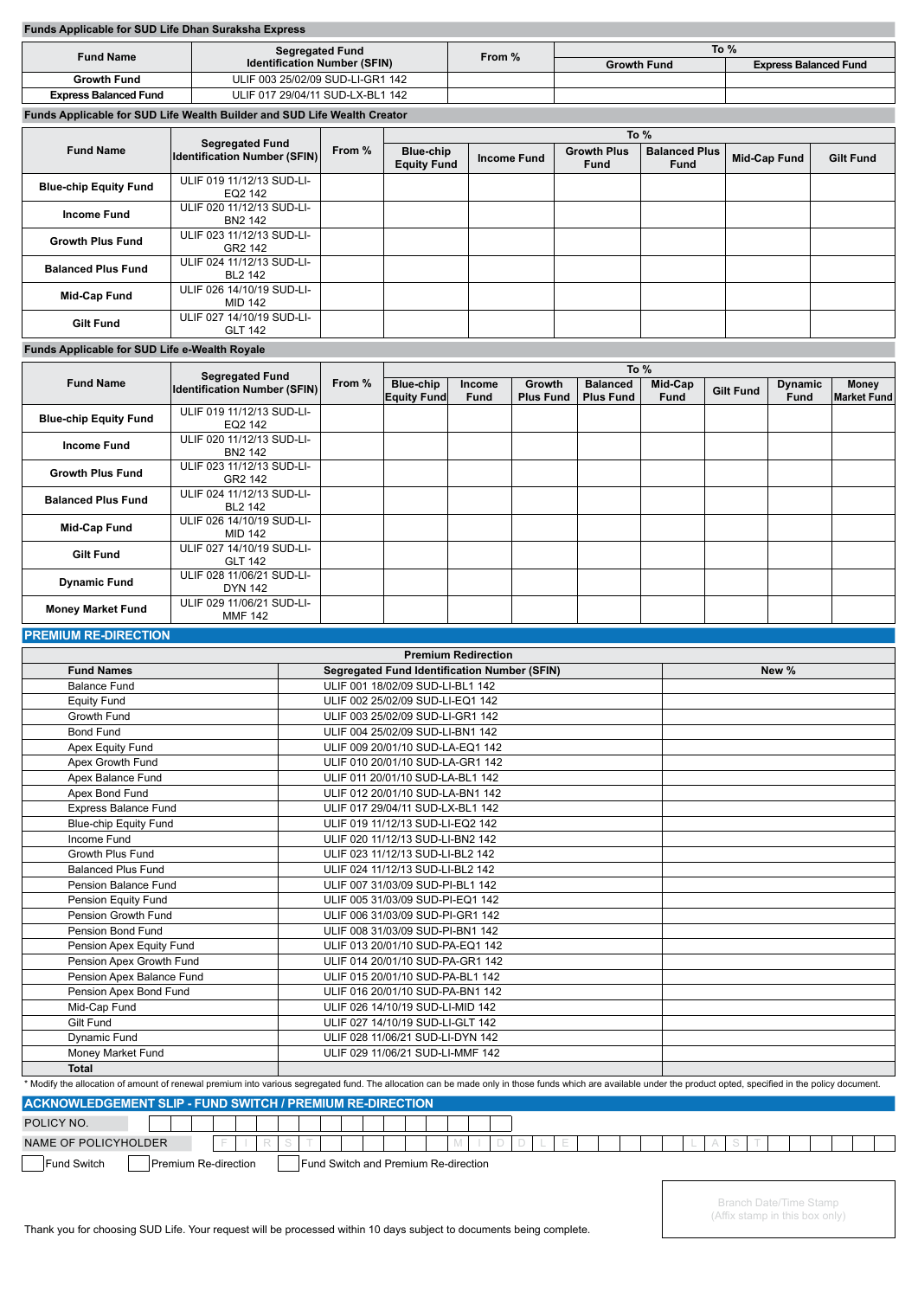### **Funds Applicable for SUD Life Dhan Suraksha Express**

| <b>Fund Name</b>             | <b>Segregated Fund</b>                                                                  |        | To $%$             |                              |  |  |  |  |
|------------------------------|-----------------------------------------------------------------------------------------|--------|--------------------|------------------------------|--|--|--|--|
|                              | <b>Identification Number (SFIN)</b>                                                     | From % | <b>Growth Fund</b> | <b>Express Balanced Fund</b> |  |  |  |  |
| <b>Growth Fund</b>           | ULIF 003 25/02/09 SUD-LI-GR1 142                                                        |        |                    |                              |  |  |  |  |
| <b>Express Balanced Fund</b> | ULIF 017 29/04/11 SUD-LX-BL1 142                                                        |        |                    |                              |  |  |  |  |
|                              | Fronte, Americani L. Leo OUD, Life Micrisis, Dr. Holangerd, OUD, Life Micrisis, Openham |        |                    |                              |  |  |  |  |

**Funds Applicable for SUD Life Wealth Builder and SUD Life Wealth Creator**

|                              |                                                               |        | To %                                   |                    |                                   |                                     |                     |                  |  |  |  |  |  |
|------------------------------|---------------------------------------------------------------|--------|----------------------------------------|--------------------|-----------------------------------|-------------------------------------|---------------------|------------------|--|--|--|--|--|
| <b>Fund Name</b>             | <b>Segregated Fund</b><br><b>Identification Number (SFIN)</b> | From % | <b>Blue-chip</b><br><b>Equity Fund</b> | <b>Income Fund</b> | <b>Growth Plus</b><br><b>Fund</b> | <b>Balanced Plus</b><br><b>Fund</b> | <b>Mid-Cap Fund</b> | <b>Gilt Fund</b> |  |  |  |  |  |
| <b>Blue-chip Equity Fund</b> | ULIF 019 11/12/13 SUD-LI-<br>EQ2 142                          |        |                                        |                    |                                   |                                     |                     |                  |  |  |  |  |  |
| <b>Income Fund</b>           | ULIF 020 11/12/13 SUD-LI-<br>BN2 142                          |        |                                        |                    |                                   |                                     |                     |                  |  |  |  |  |  |
| <b>Growth Plus Fund</b>      | ULIF 023 11/12/13 SUD-LI-<br>GR2 142                          |        |                                        |                    |                                   |                                     |                     |                  |  |  |  |  |  |
| <b>Balanced Plus Fund</b>    | ULIF 024 11/12/13 SUD-LI-<br>BL2 142                          |        |                                        |                    |                                   |                                     |                     |                  |  |  |  |  |  |
| <b>Mid-Cap Fund</b>          | ULIF 026 14/10/19 SUD-LI-<br>MID 142                          |        |                                        |                    |                                   |                                     |                     |                  |  |  |  |  |  |
| <b>Gilt Fund</b>             | ULIF 027 14/10/19 SUD-LI-<br><b>GLT 142</b>                   |        |                                        |                    |                                   |                                     |                     |                  |  |  |  |  |  |

### **Funds Applicable for SUD Life e-Wealth Royale**

|                              | <b>Segregated Fund</b>                      |        | To $%$                          |                       |                            |                                     |                        |                  |                        |                             |  |  |  |  |  |
|------------------------------|---------------------------------------------|--------|---------------------------------|-----------------------|----------------------------|-------------------------------------|------------------------|------------------|------------------------|-----------------------------|--|--|--|--|--|
| <b>Fund Name</b>             | <b>Identification Number (SFIN)</b>         | From % | Blue-chip<br><b>Equity Fund</b> | Income<br><b>Fund</b> | Growth<br><b>Plus Fund</b> | <b>Balanced</b><br><b>Plus Fund</b> | Mid-Cap<br><b>Fund</b> | <b>Gilt Fund</b> | <b>Dynamic</b><br>Fund | Money<br><b>Market Fund</b> |  |  |  |  |  |
| <b>Blue-chip Equity Fund</b> | ULIF 019 11/12/13 SUD-LI-<br>EQ2 142        |        |                                 |                       |                            |                                     |                        |                  |                        |                             |  |  |  |  |  |
| <b>Income Fund</b>           | ULIF 020 11/12/13 SUD-LI-<br>BN2 142        |        |                                 |                       |                            |                                     |                        |                  |                        |                             |  |  |  |  |  |
| <b>Growth Plus Fund</b>      | ULIF 023 11/12/13 SUD-LI-<br>GR2 142        |        |                                 |                       |                            |                                     |                        |                  |                        |                             |  |  |  |  |  |
| <b>Balanced Plus Fund</b>    | ULIF 024 11/12/13 SUD-LI-<br>BL2 142        |        |                                 |                       |                            |                                     |                        |                  |                        |                             |  |  |  |  |  |
| <b>Mid-Cap Fund</b>          | ULIF 026 14/10/19 SUD-LI-<br>MID 142        |        |                                 |                       |                            |                                     |                        |                  |                        |                             |  |  |  |  |  |
| <b>Gilt Fund</b>             | ULIF 027 14/10/19 SUD-LI-<br><b>GLT 142</b> |        |                                 |                       |                            |                                     |                        |                  |                        |                             |  |  |  |  |  |
| <b>Dynamic Fund</b>          | ULIF 028 11/06/21 SUD-LI-<br>DYN 142        |        |                                 |                       |                            |                                     |                        |                  |                        |                             |  |  |  |  |  |
| <b>Money Market Fund</b>     | ULIF 029 11/06/21 SUD-LI-<br><b>MMF 142</b> |        |                                 |                       |                            |                                     |                        |                  |                        |                             |  |  |  |  |  |

### **PREMIUM RE-DIRECTION**

| <b>Premium Redirection</b>                                       |                                                                                                                                                                                                                  |       |  |  |  |  |  |  |  |
|------------------------------------------------------------------|------------------------------------------------------------------------------------------------------------------------------------------------------------------------------------------------------------------|-------|--|--|--|--|--|--|--|
| <b>Fund Names</b>                                                | <b>Segregated Fund Identification Number (SFIN)</b>                                                                                                                                                              | New % |  |  |  |  |  |  |  |
| <b>Balance Fund</b>                                              | ULIF 001 18/02/09 SUD-LI-BL1 142                                                                                                                                                                                 |       |  |  |  |  |  |  |  |
| <b>Equity Fund</b>                                               | ULIF 002 25/02/09 SUD-LI-EQ1 142                                                                                                                                                                                 |       |  |  |  |  |  |  |  |
| Growth Fund                                                      | ULIF 003 25/02/09 SUD-LI-GR1 142                                                                                                                                                                                 |       |  |  |  |  |  |  |  |
| <b>Bond Fund</b>                                                 | ULIF 004 25/02/09 SUD-LI-BN1 142                                                                                                                                                                                 |       |  |  |  |  |  |  |  |
| Apex Equity Fund                                                 | ULIF 009 20/01/10 SUD-LA-EQ1 142                                                                                                                                                                                 |       |  |  |  |  |  |  |  |
| Apex Growth Fund                                                 | ULIF 010 20/01/10 SUD-LA-GR1 142                                                                                                                                                                                 |       |  |  |  |  |  |  |  |
| Apex Balance Fund                                                | ULIF 011 20/01/10 SUD-LA-BL1 142                                                                                                                                                                                 |       |  |  |  |  |  |  |  |
| Apex Bond Fund                                                   | ULIF 012 20/01/10 SUD-LA-BN1 142                                                                                                                                                                                 |       |  |  |  |  |  |  |  |
| <b>Express Balance Fund</b>                                      | ULIF 017 29/04/11 SUD-LX-BL1 142                                                                                                                                                                                 |       |  |  |  |  |  |  |  |
| <b>Blue-chip Equity Fund</b>                                     | ULIF 019 11/12/13 SUD-LI-EQ2 142                                                                                                                                                                                 |       |  |  |  |  |  |  |  |
| Income Fund                                                      | ULIF 020 11/12/13 SUD-LI-BN2 142                                                                                                                                                                                 |       |  |  |  |  |  |  |  |
| Growth Plus Fund                                                 | ULIF 023 11/12/13 SUD-LI-BL2 142                                                                                                                                                                                 |       |  |  |  |  |  |  |  |
| <b>Balanced Plus Fund</b>                                        | ULIF 024 11/12/13 SUD-LI-BL2 142                                                                                                                                                                                 |       |  |  |  |  |  |  |  |
| Pension Balance Fund                                             | ULIF 007 31/03/09 SUD-PI-BL1 142                                                                                                                                                                                 |       |  |  |  |  |  |  |  |
| Pension Equity Fund                                              | ULIF 005 31/03/09 SUD-PI-EQ1 142                                                                                                                                                                                 |       |  |  |  |  |  |  |  |
| Pension Growth Fund                                              | ULIF 006 31/03/09 SUD-PI-GR1 142                                                                                                                                                                                 |       |  |  |  |  |  |  |  |
| Pension Bond Fund                                                | ULIF 008 31/03/09 SUD-PI-BN1 142                                                                                                                                                                                 |       |  |  |  |  |  |  |  |
| Pension Apex Equity Fund                                         | ULIF 013 20/01/10 SUD-PA-EQ1 142                                                                                                                                                                                 |       |  |  |  |  |  |  |  |
| Pension Apex Growth Fund                                         | ULIF 014 20/01/10 SUD-PA-GR1 142                                                                                                                                                                                 |       |  |  |  |  |  |  |  |
| Pension Apex Balance Fund                                        | ULIF 015 20/01/10 SUD-PA-BL1 142                                                                                                                                                                                 |       |  |  |  |  |  |  |  |
| Pension Apex Bond Fund                                           | ULIF 016 20/01/10 SUD-PA-BN1 142                                                                                                                                                                                 |       |  |  |  |  |  |  |  |
| Mid-Cap Fund                                                     | ULIF 026 14/10/19 SUD-LI-MID 142                                                                                                                                                                                 |       |  |  |  |  |  |  |  |
| <b>Gilt Fund</b>                                                 | ULIF 027 14/10/19 SUD-LI-GLT 142                                                                                                                                                                                 |       |  |  |  |  |  |  |  |
| <b>Dynamic Fund</b>                                              | ULIF 028 11/06/21 SUD-LI-DYN 142                                                                                                                                                                                 |       |  |  |  |  |  |  |  |
| Money Market Fund                                                | ULIF 029 11/06/21 SUD-LI-MMF 142                                                                                                                                                                                 |       |  |  |  |  |  |  |  |
| <b>Total</b>                                                     |                                                                                                                                                                                                                  |       |  |  |  |  |  |  |  |
|                                                                  | * Modify the allocation of amount of renewal premium into various segregated fund. The allocation can be made only in those funds which are available under the product opted, specified in the policy document. |       |  |  |  |  |  |  |  |
| <b>ACKNOWLEDGEMENT SLIP - FUND SWITCH / PREMIUM RE-DIRECTION</b> |                                                                                                                                                                                                                  |       |  |  |  |  |  |  |  |
| POLICY NO.                                                       |                                                                                                                                                                                                                  |       |  |  |  |  |  |  |  |

NAME OF POLICYHOLDER Fund Switch **Premium Re-direction** Fund Switch and Premium Re-direction